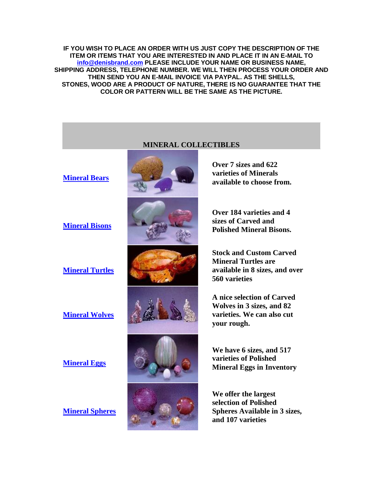**IF YOU WISH TO PLACE AN ORDER WITH US JUST COPY THE DESCRIPTION OF THE ITEM OR ITEMS THAT YOU ARE INTERESTED IN AND PLACE IT IN AN E-MAIL TO [info@denisbrand.com](mailto:info@denisbrand.com) PLEASE INCLUDE YOUR NAME OR BUSINESS NAME, SHIPPING ADDRESS, TELEPHONE NUMBER. WE WILL THEN PROCESS YOUR ORDER AND THEN SEND YOU AN E-MAIL INVOICE VIA PAYPAL. AS THE SHELLS, STONES, WOOD ARE A PRODUCT OF NATURE, THERE IS NO GUARANTEE THAT THE COLOR OR PATTERN WILL BE THE SAME AS THE PICTURE.**

## **MINERAL COLLECTIBLES [Mineral Bears](http://denisbrand.com/mineral-bears.html) Over 7 sizes and 622 varieties of Minerals available to choose from. [Mineral Bisons](http://www.denisbrand.com/mineral-buffalo.html) Over 184 varieties and 4 sizes of Carved and Polished Mineral Bisons. [Mineral Turtles](http://www.denisbrand.com/mineral-turtles.html) Stock and Custom Carved Mineral Turtles are available in 8 sizes, and over 560 varieties [Mineral Wolves](http://www.denisbrand.com/mineral-wolves.html) A nice selection of Carved Wolves in 3 sizes, and 82 varieties. We can also cut your rough. [Mineral Eggs](http://www.denisbrand.com/mineral-eggs.html) We have 6 sizes, and 517 varieties of Polished Mineral Eggs in Inventory [Mineral Spheres](http://www.denisbrand.com/mineral-spheres.html) We offer the largest selection of Polished Spheres Available in 3 sizes, and 107 varieties**